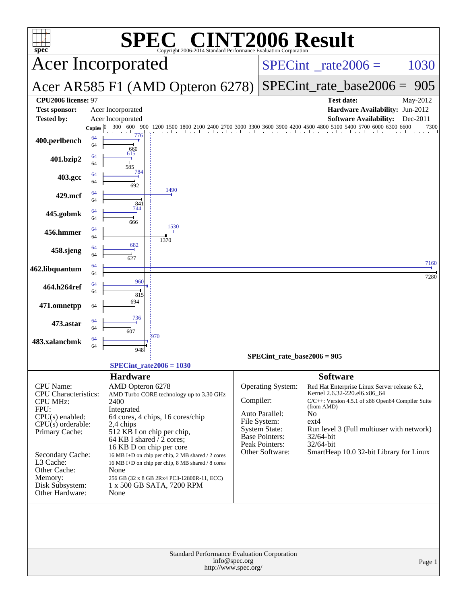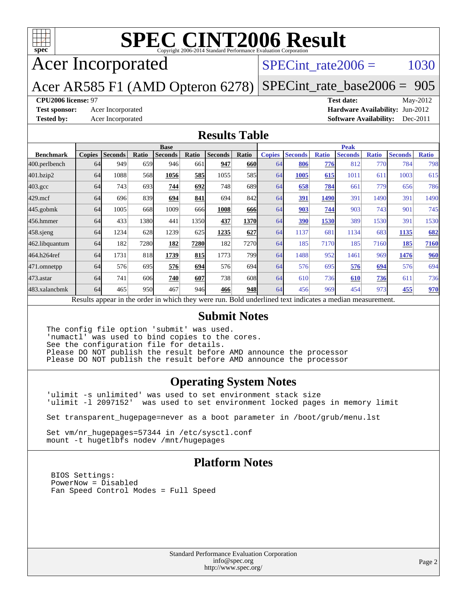

# **[SPEC CINT2006 Result](http://www.spec.org/auto/cpu2006/Docs/result-fields.html#SPECCINT2006Result)**

## Acer Incorporated

## SPECint rate $2006 = 1030$

### Acer AR585 F1 (AMD Opteron 6278) [SPECint\\_rate\\_base2006 =](http://www.spec.org/auto/cpu2006/Docs/result-fields.html#SPECintratebase2006) 905

### **[CPU2006 license:](http://www.spec.org/auto/cpu2006/Docs/result-fields.html#CPU2006license)** 97 **[Test date:](http://www.spec.org/auto/cpu2006/Docs/result-fields.html#Testdate)** May-2012

**[Test sponsor:](http://www.spec.org/auto/cpu2006/Docs/result-fields.html#Testsponsor)** Acer Incorporated **[Hardware Availability:](http://www.spec.org/auto/cpu2006/Docs/result-fields.html#HardwareAvailability)** Jun-2012 **[Tested by:](http://www.spec.org/auto/cpu2006/Docs/result-fields.html#Testedby)** Acer Incorporated **[Software Availability:](http://www.spec.org/auto/cpu2006/Docs/result-fields.html#SoftwareAvailability)** Dec-2011

### **[Results Table](http://www.spec.org/auto/cpu2006/Docs/result-fields.html#ResultsTable)**

|                                                                                                          | <b>Base</b>   |                |       |                | <b>Peak</b> |                |            |               |                |              |                |              |                |              |
|----------------------------------------------------------------------------------------------------------|---------------|----------------|-------|----------------|-------------|----------------|------------|---------------|----------------|--------------|----------------|--------------|----------------|--------------|
| <b>Benchmark</b>                                                                                         | <b>Copies</b> | <b>Seconds</b> | Ratio | <b>Seconds</b> | Ratio       | <b>Seconds</b> | Ratio      | <b>Copies</b> | <b>Seconds</b> | <b>Ratio</b> | <b>Seconds</b> | <b>Ratio</b> | <b>Seconds</b> | <b>Ratio</b> |
| 400.perlbench                                                                                            | 64            | 949            | 659   | 946            | 661         | 947            | <b>660</b> | 64            | 806            | 776          | 812            | 770          | 784            | 798          |
| 401.bzip2                                                                                                | 64            | 1088           | 568   | 1056           | 585         | 1055           | 585        | 64            | 1005           | 615          | 1011           | 611          | 1003           | 615          |
| $403.\mathrm{gcc}$                                                                                       | 64            | 743            | 693   | 744            | 692         | 748            | 689        | 64            | 658            | 784          | 661            | 779          | 656            | 786          |
| $429$ .mcf                                                                                               | 64            | 696            | 839   | 694            | 841         | 694            | 842        | 64            | 391            | 1490         | 391            | 1490         | 391            | 1490         |
| $445$ .gobmk                                                                                             | 64            | 1005           | 668   | 1009           | 666         | 1008           | 666        | 64            | 903            | 744          | 903            | 743          | 901            | 745          |
| 456.hmmer                                                                                                | 64            | 433            | 1380  | 441            | 1350        | 437            | 1370       | 64            | 390            | 1530         | 389            | 1530         | 391            | 1530         |
| $458$ .sjeng                                                                                             | 64            | 1234           | 628   | 1239           | 625         | 1235           | 627        | 64            | 1137           | 681          | 1134           | 683          | 1135           | 682          |
| 462.libquantum                                                                                           | 64            | 182            | 7280  | 182            | 7280        | 182            | 7270       | 64            | 185            | 7170         | 185            | 7160         | 185            | 7160         |
| 464.h264ref                                                                                              | 64            | 1731           | 818   | 1739           | 815         | 1773           | <b>799</b> | 64            | 1488           | 952          | 1461           | 969          | 1476           | 960          |
| 471.omnetpp                                                                                              | 64            | 576            | 695   | 576            | 694         | 576            | 694        | 64            | 576            | 695          | 576            | 694          | 576            | 694          |
| $473$ . astar                                                                                            | 64            | 741            | 606   | 740            | 607         | 738            | 608        | 64            | 610            | 736          | 610            | 736          | 611            | 736          |
| 483.xalancbmk                                                                                            | 64            | 465            | 950   | 467            | 946         | 466            | <b>948</b> | 64            | 456            | 969          | 454            | 973          | 455            | 970          |
| Results appear in the order in which they were run. Bold underlined text indicates a median measurement. |               |                |       |                |             |                |            |               |                |              |                |              |                |              |

### **[Submit Notes](http://www.spec.org/auto/cpu2006/Docs/result-fields.html#SubmitNotes)**

The config file option 'submit' was used. 'numactl' was used to bind copies to the cores. See the configuration file for details. Please DO NOT publish the result before AMD announce the processor Please DO NOT publish the result before AMD announce the processor

### **[Operating System Notes](http://www.spec.org/auto/cpu2006/Docs/result-fields.html#OperatingSystemNotes)**

'ulimit -s unlimited' was used to set environment stack size 'ulimit -l 2097152' was used to set environment locked pages in memory limit

Set transparent\_hugepage=never as a boot parameter in /boot/grub/menu.lst

Set vm/nr\_hugepages=57344 in /etc/sysctl.conf mount -t hugetlbfs nodev /mnt/hugepages

### **[Platform Notes](http://www.spec.org/auto/cpu2006/Docs/result-fields.html#PlatformNotes)**

 BIOS Settings: PowerNow = Disabled Fan Speed Control Modes = Full Speed

> Standard Performance Evaluation Corporation [info@spec.org](mailto:info@spec.org) <http://www.spec.org/>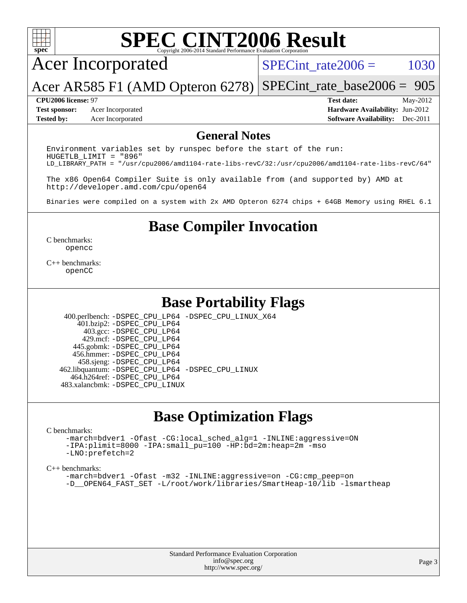

# **[SPEC CINT2006 Result](http://www.spec.org/auto/cpu2006/Docs/result-fields.html#SPECCINT2006Result)**

## Acer Incorporated

SPECint rate $2006 = 1030$ 

Acer AR585 F1 (AMD Opteron 6278) [SPECint\\_rate\\_base2006 =](http://www.spec.org/auto/cpu2006/Docs/result-fields.html#SPECintratebase2006) 905

**[Test sponsor:](http://www.spec.org/auto/cpu2006/Docs/result-fields.html#Testsponsor)** Acer Incorporated **[Hardware Availability:](http://www.spec.org/auto/cpu2006/Docs/result-fields.html#HardwareAvailability)** Jun-2012

**[CPU2006 license:](http://www.spec.org/auto/cpu2006/Docs/result-fields.html#CPU2006license)** 97 **[Test date:](http://www.spec.org/auto/cpu2006/Docs/result-fields.html#Testdate)** May-2012 **[Tested by:](http://www.spec.org/auto/cpu2006/Docs/result-fields.html#Testedby)** Acer Incorporated **[Software Availability:](http://www.spec.org/auto/cpu2006/Docs/result-fields.html#SoftwareAvailability)** Dec-2011

### **[General Notes](http://www.spec.org/auto/cpu2006/Docs/result-fields.html#GeneralNotes)**

Environment variables set by runspec before the start of the run: HUGETLB\_LIMIT = "896" LD\_LIBRARY\_PATH = "/usr/cpu2006/amd1104-rate-libs-revC/32:/usr/cpu2006/amd1104-rate-libs-revC/64"

The x86 Open64 Compiler Suite is only available from (and supported by) AMD at <http://developer.amd.com/cpu/open64>

Binaries were compiled on a system with 2x AMD Opteron 6274 chips + 64GB Memory using RHEL 6.1

**[Base Compiler Invocation](http://www.spec.org/auto/cpu2006/Docs/result-fields.html#BaseCompilerInvocation)**

[C benchmarks](http://www.spec.org/auto/cpu2006/Docs/result-fields.html#Cbenchmarks): [opencc](http://www.spec.org/cpu2006/results/res2012q3/cpu2006-20120517-21796.flags.html#user_CCbase_Fopencc)

[C++ benchmarks:](http://www.spec.org/auto/cpu2006/Docs/result-fields.html#CXXbenchmarks) [openCC](http://www.spec.org/cpu2006/results/res2012q3/cpu2006-20120517-21796.flags.html#user_CXXbase_FopenCC)

## **[Base Portability Flags](http://www.spec.org/auto/cpu2006/Docs/result-fields.html#BasePortabilityFlags)**

 400.perlbench: [-DSPEC\\_CPU\\_LP64](http://www.spec.org/cpu2006/results/res2012q3/cpu2006-20120517-21796.flags.html#b400.perlbench_basePORTABILITY_DSPEC_CPU_LP64) [-DSPEC\\_CPU\\_LINUX\\_X64](http://www.spec.org/cpu2006/results/res2012q3/cpu2006-20120517-21796.flags.html#b400.perlbench_baseCPORTABILITY_DSPEC_CPU_LINUX_X64) 401.bzip2: [-DSPEC\\_CPU\\_LP64](http://www.spec.org/cpu2006/results/res2012q3/cpu2006-20120517-21796.flags.html#suite_basePORTABILITY401_bzip2_DSPEC_CPU_LP64) 403.gcc: [-DSPEC\\_CPU\\_LP64](http://www.spec.org/cpu2006/results/res2012q3/cpu2006-20120517-21796.flags.html#suite_basePORTABILITY403_gcc_DSPEC_CPU_LP64) 429.mcf: [-DSPEC\\_CPU\\_LP64](http://www.spec.org/cpu2006/results/res2012q3/cpu2006-20120517-21796.flags.html#suite_basePORTABILITY429_mcf_DSPEC_CPU_LP64) 445.gobmk: [-DSPEC\\_CPU\\_LP64](http://www.spec.org/cpu2006/results/res2012q3/cpu2006-20120517-21796.flags.html#suite_basePORTABILITY445_gobmk_DSPEC_CPU_LP64) 456.hmmer: [-DSPEC\\_CPU\\_LP64](http://www.spec.org/cpu2006/results/res2012q3/cpu2006-20120517-21796.flags.html#suite_basePORTABILITY456_hmmer_DSPEC_CPU_LP64) 458.sjeng: [-DSPEC\\_CPU\\_LP64](http://www.spec.org/cpu2006/results/res2012q3/cpu2006-20120517-21796.flags.html#suite_basePORTABILITY458_sjeng_DSPEC_CPU_LP64) 462.libquantum: [-DSPEC\\_CPU\\_LP64](http://www.spec.org/cpu2006/results/res2012q3/cpu2006-20120517-21796.flags.html#suite_basePORTABILITY462_libquantum_DSPEC_CPU_LP64) [-DSPEC\\_CPU\\_LINUX](http://www.spec.org/cpu2006/results/res2012q3/cpu2006-20120517-21796.flags.html#b462.libquantum_baseCPORTABILITY_DSPEC_CPU_LINUX) 464.h264ref: [-DSPEC\\_CPU\\_LP64](http://www.spec.org/cpu2006/results/res2012q3/cpu2006-20120517-21796.flags.html#suite_basePORTABILITY464_h264ref_DSPEC_CPU_LP64) 483.xalancbmk: [-DSPEC\\_CPU\\_LINUX](http://www.spec.org/cpu2006/results/res2012q3/cpu2006-20120517-21796.flags.html#b483.xalancbmk_baseCXXPORTABILITY_DSPEC_CPU_LINUX)

## **[Base Optimization Flags](http://www.spec.org/auto/cpu2006/Docs/result-fields.html#BaseOptimizationFlags)**

### [C benchmarks](http://www.spec.org/auto/cpu2006/Docs/result-fields.html#Cbenchmarks):

[-march=bdver1](http://www.spec.org/cpu2006/results/res2012q3/cpu2006-20120517-21796.flags.html#user_CCbase_F-march_fdb9f2653a6b3eaa60be4cf93a9ba5f3) [-Ofast](http://www.spec.org/cpu2006/results/res2012q3/cpu2006-20120517-21796.flags.html#user_CCbase_F-Ofast) [-CG:local\\_sched\\_alg=1](http://www.spec.org/cpu2006/results/res2012q3/cpu2006-20120517-21796.flags.html#user_CCbase_F-CG:local_sched_alg_2175ca61f1a2717f1ec57b14995b9e7a) [-INLINE:aggressive=ON](http://www.spec.org/cpu2006/results/res2012q3/cpu2006-20120517-21796.flags.html#user_CCbase_F-INLINE:aggressive_1968a21fda3b9e485676870015f71302) [-IPA:plimit=8000](http://www.spec.org/cpu2006/results/res2012q3/cpu2006-20120517-21796.flags.html#user_CCbase_F-IPA:plimit_92cba83f3d47f09c7d5368fda93ddbd7) [-IPA:small\\_pu=100](http://www.spec.org/cpu2006/results/res2012q3/cpu2006-20120517-21796.flags.html#user_CCbase_F-IPA:small_pu_900a09767c6929d55c26ea3d32399996) [-HP:bd=2m:heap=2m](http://www.spec.org/cpu2006/results/res2012q3/cpu2006-20120517-21796.flags.html#user_CCbase_F-HUGEPAGE_539c723a9f9bd1bd95cd839aeb740bae) [-mso](http://www.spec.org/cpu2006/results/res2012q3/cpu2006-20120517-21796.flags.html#user_CCbase_F-mso) [-LNO:prefetch=2](http://www.spec.org/cpu2006/results/res2012q3/cpu2006-20120517-21796.flags.html#user_CCbase_F-LNO:prefetch_9aee81855ba0592a3c8a40ba7b041143)

### [C++ benchmarks:](http://www.spec.org/auto/cpu2006/Docs/result-fields.html#CXXbenchmarks)

[-march=bdver1](http://www.spec.org/cpu2006/results/res2012q3/cpu2006-20120517-21796.flags.html#user_CXXbase_F-march_fdb9f2653a6b3eaa60be4cf93a9ba5f3) [-Ofast](http://www.spec.org/cpu2006/results/res2012q3/cpu2006-20120517-21796.flags.html#user_CXXbase_F-Ofast) [-m32](http://www.spec.org/cpu2006/results/res2012q3/cpu2006-20120517-21796.flags.html#user_CXXbase_F-m32) [-INLINE:aggressive=on](http://www.spec.org/cpu2006/results/res2012q3/cpu2006-20120517-21796.flags.html#user_CXXbase_F-INLINE:aggressive_e14807c0a1e56a6a83cb25ab07c7ae8a) -CG:cmp peep=on [-D\\_\\_OPEN64\\_FAST\\_SET](http://www.spec.org/cpu2006/results/res2012q3/cpu2006-20120517-21796.flags.html#user_CXXbase_F-D__OPEN64_FAST_SET_294c6d8260f208640e5474aae24dc22e) [-L/root/work/libraries/SmartHeap-10/lib -lsmartheap](http://www.spec.org/cpu2006/results/res2012q3/cpu2006-20120517-21796.flags.html#user_CXXbase_F-L_lib_directory_lsmartheap_85a76c4428362ddebb9fcf59329573fc)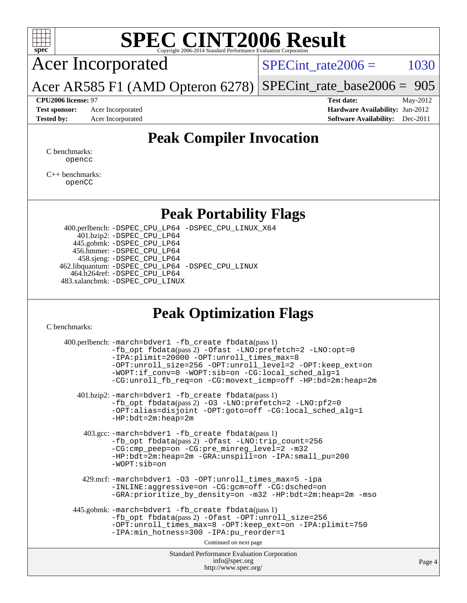

# **[SPEC CINT2006 Result](http://www.spec.org/auto/cpu2006/Docs/result-fields.html#SPECCINT2006Result)**

Acer Incorporated

 $SPECTnt_rate2006 = 1030$ 

Acer AR585 F1 (AMD Opteron 6278) [SPECint\\_rate\\_base2006 =](http://www.spec.org/auto/cpu2006/Docs/result-fields.html#SPECintratebase2006) 905

**[CPU2006 license:](http://www.spec.org/auto/cpu2006/Docs/result-fields.html#CPU2006license)** 97 **[Test date:](http://www.spec.org/auto/cpu2006/Docs/result-fields.html#Testdate)** May-2012 **[Test sponsor:](http://www.spec.org/auto/cpu2006/Docs/result-fields.html#Testsponsor)** Acer Incorporated **[Hardware Availability:](http://www.spec.org/auto/cpu2006/Docs/result-fields.html#HardwareAvailability)** Jun-2012 **[Tested by:](http://www.spec.org/auto/cpu2006/Docs/result-fields.html#Testedby)** Acer Incorporated **[Software Availability:](http://www.spec.org/auto/cpu2006/Docs/result-fields.html#SoftwareAvailability)** Dec-2011

## **[Peak Compiler Invocation](http://www.spec.org/auto/cpu2006/Docs/result-fields.html#PeakCompilerInvocation)**

[C benchmarks](http://www.spec.org/auto/cpu2006/Docs/result-fields.html#Cbenchmarks): [opencc](http://www.spec.org/cpu2006/results/res2012q3/cpu2006-20120517-21796.flags.html#user_CCpeak_Fopencc)

[C++ benchmarks:](http://www.spec.org/auto/cpu2006/Docs/result-fields.html#CXXbenchmarks) [openCC](http://www.spec.org/cpu2006/results/res2012q3/cpu2006-20120517-21796.flags.html#user_CXXpeak_FopenCC)

## **[Peak Portability Flags](http://www.spec.org/auto/cpu2006/Docs/result-fields.html#PeakPortabilityFlags)**

 400.perlbench: [-DSPEC\\_CPU\\_LP64](http://www.spec.org/cpu2006/results/res2012q3/cpu2006-20120517-21796.flags.html#b400.perlbench_peakPORTABILITY_DSPEC_CPU_LP64) [-DSPEC\\_CPU\\_LINUX\\_X64](http://www.spec.org/cpu2006/results/res2012q3/cpu2006-20120517-21796.flags.html#b400.perlbench_peakCPORTABILITY_DSPEC_CPU_LINUX_X64) 401.bzip2: [-DSPEC\\_CPU\\_LP64](http://www.spec.org/cpu2006/results/res2012q3/cpu2006-20120517-21796.flags.html#suite_peakPORTABILITY401_bzip2_DSPEC_CPU_LP64) 445.gobmk: [-DSPEC\\_CPU\\_LP64](http://www.spec.org/cpu2006/results/res2012q3/cpu2006-20120517-21796.flags.html#suite_peakPORTABILITY445_gobmk_DSPEC_CPU_LP64) 456.hmmer: [-DSPEC\\_CPU\\_LP64](http://www.spec.org/cpu2006/results/res2012q3/cpu2006-20120517-21796.flags.html#suite_peakPORTABILITY456_hmmer_DSPEC_CPU_LP64) 458.sjeng: [-DSPEC\\_CPU\\_LP64](http://www.spec.org/cpu2006/results/res2012q3/cpu2006-20120517-21796.flags.html#suite_peakPORTABILITY458_sjeng_DSPEC_CPU_LP64) 462.libquantum: [-DSPEC\\_CPU\\_LP64](http://www.spec.org/cpu2006/results/res2012q3/cpu2006-20120517-21796.flags.html#suite_peakPORTABILITY462_libquantum_DSPEC_CPU_LP64) [-DSPEC\\_CPU\\_LINUX](http://www.spec.org/cpu2006/results/res2012q3/cpu2006-20120517-21796.flags.html#b462.libquantum_peakCPORTABILITY_DSPEC_CPU_LINUX) 464.h264ref: [-DSPEC\\_CPU\\_LP64](http://www.spec.org/cpu2006/results/res2012q3/cpu2006-20120517-21796.flags.html#suite_peakPORTABILITY464_h264ref_DSPEC_CPU_LP64) 483.xalancbmk: [-DSPEC\\_CPU\\_LINUX](http://www.spec.org/cpu2006/results/res2012q3/cpu2006-20120517-21796.flags.html#b483.xalancbmk_peakCXXPORTABILITY_DSPEC_CPU_LINUX)

## **[Peak Optimization Flags](http://www.spec.org/auto/cpu2006/Docs/result-fields.html#PeakOptimizationFlags)**

[C benchmarks](http://www.spec.org/auto/cpu2006/Docs/result-fields.html#Cbenchmarks):

| 400.perlbench: -march=bdver1 -fb_create fbdata(pass 1)<br>$-fb\_{opt}$ fbdata(pass 2) $-0$ fast $-LNO:pretetch=2$ $-LNO:opt=0$<br>-IPA:plimit=20000 -OPT:unroll_times_max=8<br>-OPT:unroll_size=256 -OPT:unroll_level=2 -OPT:keep_ext=on<br>-WOPT:if_conv=0 -WOPT:sib=on -CG:local_sched_alg=1<br>-CG:unroll_fb_req=on -CG:movext_icmp=off -HP:bd=2m:heap=2m |     |
|--------------------------------------------------------------------------------------------------------------------------------------------------------------------------------------------------------------------------------------------------------------------------------------------------------------------------------------------------------------|-----|
| 401.bzip2: -march=bdver1 -fb_create fbdata(pass 1)<br>-fb_opt fbdata(pass 2) -03 -LNO:prefetch=2 -LNO:pf2=0<br>-OPT:alias=disjoint -OPT:goto=off -CG:local_sched_alg=1<br>$-HP:bdt=2m:heap=2m$                                                                                                                                                               |     |
| 403.gcc: -march=bdver1 -fb_create fbdata(pass 1)<br>-fb_opt fbdata(pass 2) -Ofast -LNO:trip_count=256<br>-CG:cmp_peep=on -CG:pre_minreg_level=2 -m32<br>$-HP:bdt=2m:heap=2m -GRA:unspill=on -IPA:small_pu=200$<br>$-WOPT: si$                                                                                                                                |     |
| 429.mcf: -march=bdver1 -03 -OPT:unroll_times_max=5 -ipa<br>-INLINE:aggressive=on -CG:gcm=off -CG:dsched=on<br>-GRA: prioritize_by_density=on -m32 -HP:bdt=2m:heap=2m -mso                                                                                                                                                                                    |     |
| 445.gobmk: -march=bdver1 -fb_create fbdata(pass 1)<br>-fb_opt fbdata(pass 2) -Ofast -OPT:unroll_size=256<br>-OPT:unroll_times_max=8 -OPT:keep_ext=on -IPA:plimit=750<br>-IPA:min_hotness=300 -IPA:pu_reorder=1                                                                                                                                               |     |
| Continued on next page                                                                                                                                                                                                                                                                                                                                       |     |
| <b>Standard Performance Evaluation Corporation</b><br>info@spec.org<br>http://www.spec.org/                                                                                                                                                                                                                                                                  | Pas |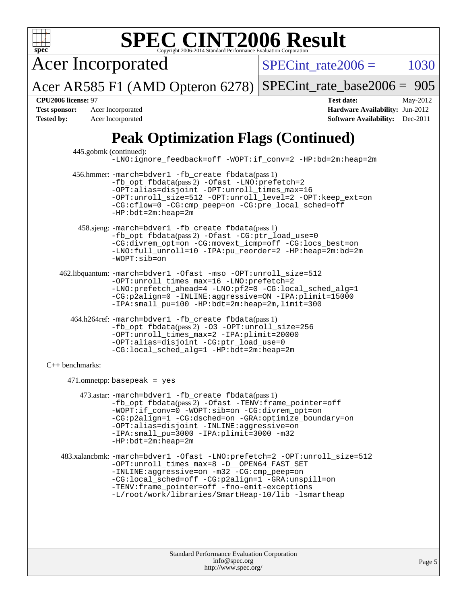

Standard Performance Evaluation Corporation [info@spec.org](mailto:info@spec.org) <http://www.spec.org/>